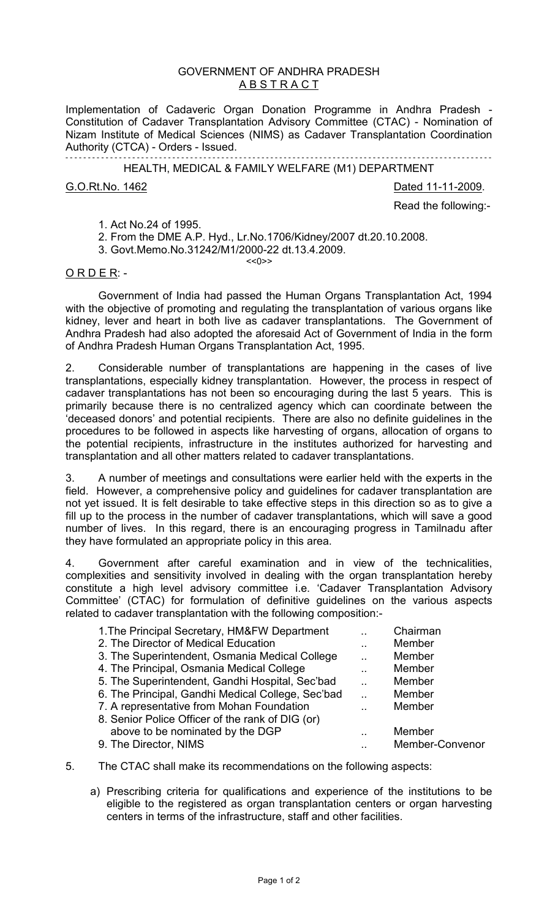## GOVERNMENT OF ANDHRA PRADESH **ABSTRACT**

Implementation of Cadaveric Organ Donation Programme in Andhra Pradesh Constitution of Cadaver Transplantation Advisory Committee (CTAC) - Nomination of Nizam Institute of Medical Sciences (NIMS) as Cadaver Transplantation Coordination Authority (CTCA) - Orders - Issued.

- - - - - - - - - - - - - - - - - - - - - - - - - - - - - - - - - - - - - - - - - - - - - - - - - - - - - - - - - - - - - - - - - - - - - - - - - - - - - - - - - - - - - - - - - - - - - - - - HEALTH, MEDICAL & FAMILY WELFARE (M1) DEPARTMENT

G.O.Rt.No. 1462 2009.

Read the following:-

1. Act No.24 of 1995.

2. From the DME A.P. Hyd., Lr.No.1706/Kidney/2007 dt.20.10.2008.

3. Govt.Memo.No.31242/M1/2000-22 dt.13.4.2009. <<0>>

 $O$  R D E R: -

 Government of India had passed the Human Organs Transplantation Act, 1994 with the objective of promoting and regulating the transplantation of various organs like kidney, lever and heart in both live as cadaver transplantations. The Government of Andhra Pradesh had also adopted the aforesaid Act of Government of India in the form of Andhra Pradesh Human Organs Transplantation Act, 1995.

2. Considerable number of transplantations are happening in the cases of live transplantations, especially kidney transplantation. However, the process in respect of cadaver transplantations has not been so encouraging during the last 5 years. This is primarily because there is no centralized agency which can coordinate between the 'deceased donors' and potential recipients. There are also no definite guidelines in the procedures to be followed in aspects like harvesting of organs, allocation of organs to the potential recipients, infrastructure in the institutes authorized for harvesting and transplantation and all other matters related to cadaver transplantations.

3. A number of meetings and consultations were earlier held with the experts in the field. However, a comprehensive policy and guidelines for cadaver transplantation are not yet issued. It is felt desirable to take effective steps in this direction so as to give a fill up to the process in the number of cadaver transplantations, which will save a good number of lives. In this regard, there is an encouraging progress in Tamilnadu after they have formulated an appropriate policy in this area.

4. Government after careful examination and in view of the technicalities, complexities and sensitivity involved in dealing with the organ transplantation hereby constitute a high level advisory committee i.e. 'Cadaver Transplantation Advisory Committee' (CTAC) for formulation of definitive guidelines on the various aspects related to cadaver transplantation with the following composition:-

| 1. The Principal Secretary, HM&FW Department      | Chairman        |
|---------------------------------------------------|-----------------|
| 2. The Director of Medical Education              | Member          |
| 3. The Superintendent, Osmania Medical College    | Member          |
| 4. The Principal, Osmania Medical College         | Member          |
| 5. The Superintendent, Gandhi Hospital, Sec'bad   | Member          |
| 6. The Principal, Gandhi Medical College, Sec'bad | Member          |
| 7. A representative from Mohan Foundation         | Member          |
| 8. Senior Police Officer of the rank of DIG (or)  |                 |
| above to be nominated by the DGP                  | Member          |
| 9. The Director, NIMS                             | Member-Convenor |
|                                                   |                 |

- 5. The CTAC shall make its recommendations on the following aspects:
	- a) Prescribing criteria for qualifications and experience of the institutions to be eligible to the registered as organ transplantation centers or organ harvesting centers in terms of the infrastructure, staff and other facilities.